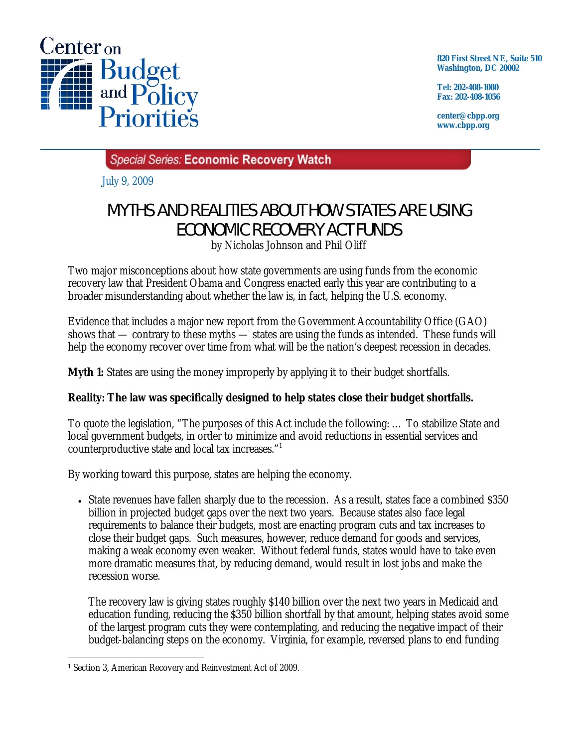

**820 First Street NE, Suite 510 Washington, DC 20002** 

**Tel: 202-408-1080 Fax: 202-408-1056** 

**center@cbpp.org www.cbpp.org** 

Special Series: Economic Recovery Watch

July 9, 2009

## MYTHS AND REALITIES ABOUT HOW STATES ARE USING ECONOMIC RECOVERY ACT FUNDS

by Nicholas Johnson and Phil Oliff

Two major misconceptions about how state governments are using funds from the economic recovery law that President Obama and Congress enacted early this year are contributing to a broader misunderstanding about whether the law is, in fact, helping the U.S. economy.

Evidence that includes a major new report from the Government Accountability Office (GAO) shows that — contrary to these myths — states are using the funds as intended. These funds will help the economy recover over time from what will be the nation's deepest recession in decades.

**Myth 1:** States are using the money improperly by applying it to their budget shortfalls.

## **Reality: The law was specifically designed to help states close their budget shortfalls.**

To quote the legislation, "The purposes of this Act include the following: … To stabilize State and local government budgets, in order to minimize and avoid reductions in essential services and counterproductive state and local tax increases."1

By working toward this purpose, states are helping the economy.

• State revenues have fallen sharply due to the recession. As a result, states face a combined \$350 billion in projected budget gaps over the next two years. Because states also face legal requirements to balance their budgets, most are enacting program cuts and tax increases to close their budget gaps. Such measures, however, reduce demand for goods and services, making a weak economy even weaker. Without federal funds, states would have to take even more dramatic measures that, by reducing demand, would result in lost jobs and make the recession worse.

The recovery law is giving states roughly \$140 billion over the next two years in Medicaid and education funding, reducing the \$350 billion shortfall by that amount, helping states avoid some of the largest program cuts they were contemplating, and reducing the negative impact of their budget-balancing steps on the economy. Virginia, for example, reversed plans to end funding

 $\overline{a}$ 1 Section 3, American Recovery and Reinvestment Act of 2009.